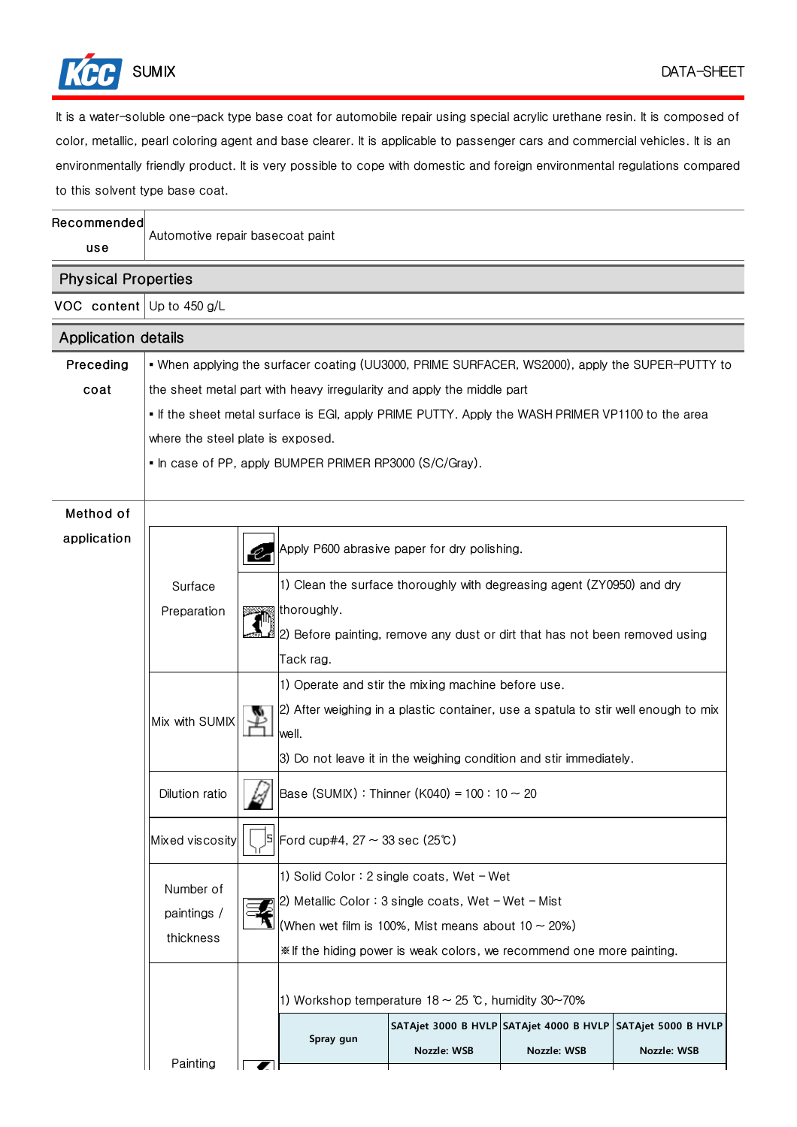

It is a water-soluble one-pack type base coat for automobile repair using special acrylic urethane resin. It is composed of color, metallic, pearl coloring agent and base clearer. It is applicable to passenger cars and commercial vehicles. It is an environmentally friendly product. It is very possible to cope with domestic and foreign environmental regulations compared to this solvent type base coat.

| Recommended<br>use          | Automotive repair basecoat paint                                                                                                                                                                                                                                                    |    |                                                                                             |                                                                        |             |             |  |  |  |
|-----------------------------|-------------------------------------------------------------------------------------------------------------------------------------------------------------------------------------------------------------------------------------------------------------------------------------|----|---------------------------------------------------------------------------------------------|------------------------------------------------------------------------|-------------|-------------|--|--|--|
| <b>Physical Properties</b>  |                                                                                                                                                                                                                                                                                     |    |                                                                                             |                                                                        |             |             |  |  |  |
| VOC content Up to $450$ g/L |                                                                                                                                                                                                                                                                                     |    |                                                                                             |                                                                        |             |             |  |  |  |
| <b>Application details</b>  |                                                                                                                                                                                                                                                                                     |    |                                                                                             |                                                                        |             |             |  |  |  |
| Preceding                   | • When applying the surfacer coating (UU3000, PRIME SURFACER, WS2000), apply the SUPER-PUTTY to                                                                                                                                                                                     |    |                                                                                             |                                                                        |             |             |  |  |  |
| coat                        | the sheet metal part with heavy irregularity and apply the middle part                                                                                                                                                                                                              |    |                                                                                             |                                                                        |             |             |  |  |  |
|                             | If the sheet metal surface is EGI, apply PRIME PUTTY. Apply the WASH PRIMER VP1100 to the area                                                                                                                                                                                      |    |                                                                                             |                                                                        |             |             |  |  |  |
|                             | where the steel plate is exposed.                                                                                                                                                                                                                                                   |    |                                                                                             |                                                                        |             |             |  |  |  |
|                             | • In case of PP, apply BUMPER PRIMER RP3000 (S/C/Gray).                                                                                                                                                                                                                             |    |                                                                                             |                                                                        |             |             |  |  |  |
|                             |                                                                                                                                                                                                                                                                                     |    |                                                                                             |                                                                        |             |             |  |  |  |
| Method of                   |                                                                                                                                                                                                                                                                                     |    |                                                                                             |                                                                        |             |             |  |  |  |
| application                 |                                                                                                                                                                                                                                                                                     | Q, | Apply P600 abrasive paper for dry polishing.                                                |                                                                        |             |             |  |  |  |
|                             | Surface                                                                                                                                                                                                                                                                             |    |                                                                                             | 1) Clean the surface thoroughly with degreasing agent (ZY0950) and dry |             |             |  |  |  |
|                             | Preparation                                                                                                                                                                                                                                                                         |    | thoroughly.                                                                                 |                                                                        |             |             |  |  |  |
|                             |                                                                                                                                                                                                                                                                                     |    | 2) Before painting, remove any dust or dirt that has not been removed using                 |                                                                        |             |             |  |  |  |
|                             |                                                                                                                                                                                                                                                                                     |    | Tack rag.                                                                                   |                                                                        |             |             |  |  |  |
|                             |                                                                                                                                                                                                                                                                                     |    | 1) Operate and stir the mixing machine before use.                                          |                                                                        |             |             |  |  |  |
|                             | Mix with SUMIX                                                                                                                                                                                                                                                                      |    | 2) After weighing in a plastic container, use a spatula to stir well enough to mix<br>well. |                                                                        |             |             |  |  |  |
|                             |                                                                                                                                                                                                                                                                                     |    | 3) Do not leave it in the weighing condition and stir immediately.                          |                                                                        |             |             |  |  |  |
|                             | Dilution ratio                                                                                                                                                                                                                                                                      |    | Base (SUMIX): Thinner (K040) = $100 : 10 \sim 20$                                           |                                                                        |             |             |  |  |  |
|                             | Mixed viscosity                                                                                                                                                                                                                                                                     |    |                                                                                             |                                                                        |             |             |  |  |  |
|                             | 1) Solid Color: 2 single coats, Wet $-$ Wet<br>Number of<br>2) Metallic Color: 3 single coats, Wet $-$ Wet $-$ Mist<br>paintings /<br>(When wet film is 100%, Mist means about 10 $\sim$ 20%)<br>thickness<br>* If the hiding power is weak colors, we recommend one more painting. |    |                                                                                             |                                                                        |             |             |  |  |  |
|                             | 1) Workshop temperature $18 \sim 25$ °C, humidity 30~70%                                                                                                                                                                                                                            |    |                                                                                             |                                                                        |             |             |  |  |  |
|                             |                                                                                                                                                                                                                                                                                     |    |                                                                                             | SATAjet 3000 B HVLP SATAjet 4000 B HVLP SATAjet 5000 B HVLP            |             |             |  |  |  |
|                             | Painting                                                                                                                                                                                                                                                                            |    | Spray gun                                                                                   | Nozzle: WSB                                                            | Nozzle: WSB | Nozzle: WSB |  |  |  |
|                             |                                                                                                                                                                                                                                                                                     |    |                                                                                             |                                                                        |             |             |  |  |  |